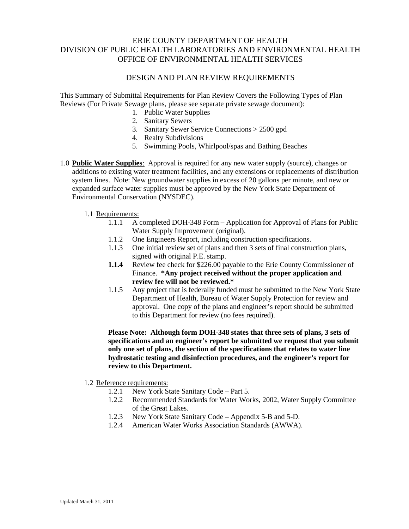## ERIE COUNTY DEPARTMENT OF HEALTH DIVISION OF PUBLIC HEALTH LABORATORIES AND ENVIRONMENTAL HEALTH OFFICE OF ENVIRONMENTAL HEALTH SERVICES

#### DESIGN AND PLAN REVIEW REQUIREMENTS

This Summary of Submittal Requirements for Plan Review Covers the Following Types of Plan Reviews (For Private Sewage plans, please see separate private sewage document):

- 1. Public Water Supplies
- 2. Sanitary Sewers
- 3. Sanitary Sewer Service Connections > 2500 gpd
- 4. Realty Subdivisions
- 5. Swimming Pools, Whirlpool/spas and Bathing Beaches
- 1.0 **Public Water Supplies**: Approval is required for any new water supply (source), changes or additions to existing water treatment facilities, and any extensions or replacements of distribution system lines. Note: New groundwater supplies in excess of 20 gallons per minute, and new or expanded surface water supplies must be approved by the New York State Department of Environmental Conservation (NYSDEC).
	- 1.1 Requirements:
		- 1.1.1 A completed DOH-348 Form Application for Approval of Plans for Public Water Supply Improvement (original).
		- 1.1.2 One Engineers Report, including construction specifications.
		- 1.1.3 One initial review set of plans and then 3 sets of final construction plans, signed with original P.E. stamp.
		- **1.1.4** Review fee check for \$226.00 payable to the Erie County Commissioner of Finance. **\*Any project received without the proper application and review fee will not be reviewed.\***
		- 1.1.5 Any project that is federally funded must be submitted to the New York State Department of Health, Bureau of Water Supply Protection for review and approval. One copy of the plans and engineer's report should be submitted to this Department for review (no fees required).

**Please Note: Although form DOH-348 states that three sets of plans, 3 sets of specifications and an engineer's report be submitted we request that you submit only one set of plans, the section of the specifications that relates to water line hydrostatic testing and disinfection procedures, and the engineer's report for review to this Department.**

#### 1.2 Reference requirements:

- 1.2.1 New York State Sanitary Code Part 5.
- 1.2.2 Recommended Standards for Water Works, 2002, Water Supply Committee of the Great Lakes.
- 1.2.3 New York State Sanitary Code Appendix 5-B and 5-D.
- 1.2.4 American Water Works Association Standards (AWWA).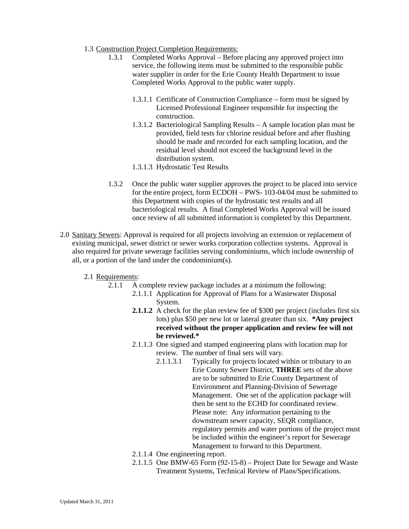- 1.3 Construction Project Completion Requirements:
	- 1.3.1 Completed Works Approval Before placing any approved project into service, the following items must be submitted to the responsible public water supplier in order for the Erie County Health Department to issue Completed Works Approval to the public water supply.
		- 1.3.1.1 Certificate of Construction Compliance form must be signed by Licensed Professional Engineer responsible for inspecting the construction.
		- 1.3.1.2 Bacteriological Sampling Results A sample location plan must be provided, field tests for chlorine residual before and after flushing should be made and recorded for each sampling location, and the residual level should not exceed the background level in the distribution system.
		- 1.3.1.3 Hydrostatic Test Results
	- 1.3.2 Once the public water supplier approves the project to be placed into service for the entire project, form ECDOH – PWS- 103-04/04 must be submitted to this Department with copies of the hydrostatic test results and all bacteriological results. A final Completed Works Approval will be issued once review of all submitted information is completed by this Department.
- 2.0 Sanitary Sewers: Approval is required for all projects involving an extension or replacement of existing municipal, sewer district or sewer works corporation collection systems. Approval is also required for private sewerage facilities serving condominiums, which include ownership of all, or a portion of the land under the condominium(s).
	- 2.1 Requirements:
		- 2.1.1 A complete review package includes at a minimum the following:
			- 2.1.1.1 Application for Approval of Plans for a Wastewater Disposal System.
				- **2.1.1.2** A check for the plan review fee of \$300 per project (includes first six lots) plus \$50 per new lot or lateral greater than six. **\*Any project received without the proper application and review fee will not be reviewed.\***
				- 2.1.1.3 One signed and stamped engineering plans with location map for review. The number of final sets will vary.
					- 2.1.1.3.1 Typically for projects located within or tributary to an Erie County Sewer District, **THREE** sets of the above are to be submitted to Erie County Department of Environment and Planning-Division of Sewerage Management. One set of the application package will then be sent to the ECHD for coordinated review. Please note: Any information pertaining to the downstream sewer capacity, SEQR compliance, regulatory permits and water portions of the project must be included within the engineer's report for Sewerage Management to forward to this Department.
				- 2.1.1.4 One engineering report.
				- 2.1.1.5 One BMW-65 Form (92-15-8) Project Date for Sewage and Waste Treatment Systems, Technical Review of Plans/Specifications.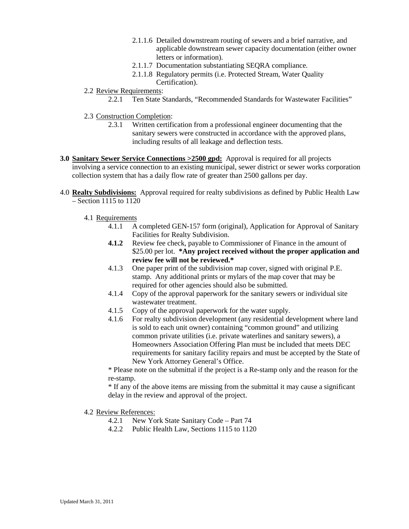- 2.1.1.6 Detailed downstream routing of sewers and a brief narrative, and applicable downstream sewer capacity documentation (either owner letters or information).
- 2.1.1.7 Documentation substantiating SEQRA compliance.
- 2.1.1.8 Regulatory permits (i.e. Protected Stream, Water Quality Certification).
- 2.2 Review Requirements:
	- 2.2.1 Ten State Standards, "Recommended Standards for Wastewater Facilities"
- 2.3 Construction Completion:
	- 2.3.1 Written certification from a professional engineer documenting that the sanitary sewers were constructed in accordance with the approved plans, including results of all leakage and deflection tests.
- **3.0 Sanitary Sewer Service Connections >2500 gpd:** Approval is required for all projects involving a service connection to an existing municipal, sewer district or sewer works corporation collection system that has a daily flow rate of greater than 2500 gallons per day.
- 4.0 **Realty Subdivisions:** Approval required for realty subdivisions as defined by Public Health Law – Section 1115 to 1120
	- 4.1 Requirements
		- 4.1.1 A completed GEN-157 form (original), Application for Approval of Sanitary Facilities for Realty Subdivision.
		- **4.1.2** Review fee check, payable to Commissioner of Finance in the amount of \$25.00 per lot. **\*Any project received without the proper application and review fee will not be reviewed.\***
		- 4.1.3 One paper print of the subdivision map cover, signed with original P.E. stamp. Any additional prints or mylars of the map cover that may be required for other agencies should also be submitted.
		- 4.1.4 Copy of the approval paperwork for the sanitary sewers or individual site wastewater treatment.
		- 4.1.5 Copy of the approval paperwork for the water supply.
		- 4.1.6 For realty subdivision development (any residential development where land is sold to each unit owner) containing "common ground" and utilizing common private utilities (i.e. private waterlines and sanitary sewers), a Homeowners Association Offering Plan must be included that meets DEC requirements for sanitary facility repairs and must be accepted by the State of New York Attorney General's Office.

\* Please note on the submittal if the project is a Re-stamp only and the reason for the re-stamp.

\* If any of the above items are missing from the submittal it may cause a significant delay in the review and approval of the project.

- 4.2 Review References:
	- 4.2.1 New York State Sanitary Code Part 74
	- 4.2.2 Public Health Law, Sections 1115 to 1120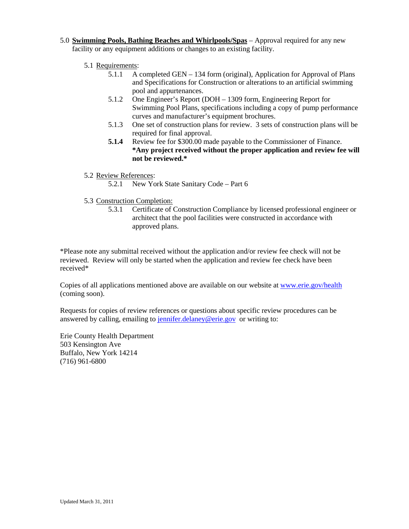- 5.0 **Swimming Pools, Bathing Beaches and Whirlpools/Spas** Approval required for any new facility or any equipment additions or changes to an existing facility.
	- 5.1 Requirements:
		- 5.1.1 A completed GEN 134 form (original), Application for Approval of Plans and Specifications for Construction or alterations to an artificial swimming pool and appurtenances.
		- 5.1.2 One Engineer's Report (DOH 1309 form, Engineering Report for Swimming Pool Plans, specifications including a copy of pump performance curves and manufacturer's equipment brochures.
		- 5.1.3 One set of construction plans for review. 3 sets of construction plans will be required for final approval.
		- **5.1.4** Review fee for \$300.00 made payable to the Commissioner of Finance. **\*Any project received without the proper application and review fee will not be reviewed.\***
	- 5.2 Review References:
		- 5.2.1 New York State Sanitary Code Part 6
	- 5.3 Construction Completion:
		- 5.3.1 Certificate of Construction Compliance by licensed professional engineer or architect that the pool facilities were constructed in accordance with approved plans.

\*Please note any submittal received without the application and/or review fee check will not be reviewed. Review will only be started when the application and review fee check have been received\*

Copies of all applications mentioned above are available on our website at [www.erie.gov/health](http://www.erie.gov/health) (coming soon).

Requests for copies of review references or questions about specific review procedures can be answered by calling, emailing to [jennifer.delaney@erie.gov](mailto:jennifer.delaney@erie.gov) or writing to:

Erie County Health Department 503 Kensington Ave Buffalo, New York 14214 (716) 961-6800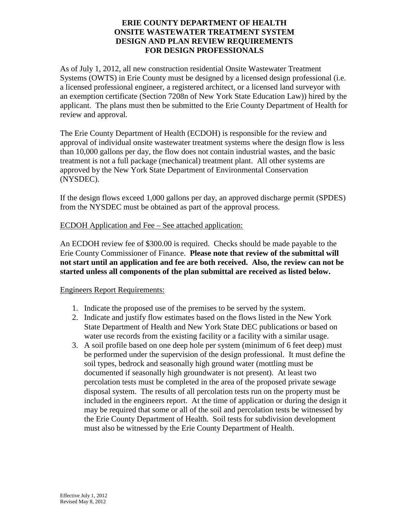## **ERIE COUNTY DEPARTMENT OF HEALTH ONSITE WASTEWATER TREATMENT SYSTEM DESIGN AND PLAN REVIEW REQUIREMENTS FOR DESIGN PROFESSIONALS**

As of July 1, 2012, all new construction residential Onsite Wastewater Treatment Systems (OWTS) in Erie County must be designed by a licensed design professional (i.e. a licensed professional engineer, a registered architect, or a licensed land surveyor with an exemption certificate (Section 7208n of New York State Education Law)) hired by the applicant. The plans must then be submitted to the Erie County Department of Health for review and approval.

The Erie County Department of Health (ECDOH) is responsible for the review and approval of individual onsite wastewater treatment systems where the design flow is less than 10,000 gallons per day, the flow does not contain industrial wastes, and the basic treatment is not a full package (mechanical) treatment plant. All other systems are approved by the New York State Department of Environmental Conservation (NYSDEC).

If the design flows exceed 1,000 gallons per day, an approved discharge permit (SPDES) from the NYSDEC must be obtained as part of the approval process.

## ECDOH Application and Fee – See attached application:

An ECDOH review fee of \$300.00 is required. Checks should be made payable to the Erie County Commissioner of Finance. **Please note that review of the submittal will not start until an application and fee are both received. Also, the review can not be started unless all components of the plan submittal are received as listed below.**

#### Engineers Report Requirements:

- 1. Indicate the proposed use of the premises to be served by the system.
- 2. Indicate and justify flow estimates based on the flows listed in the New York State Department of Health and New York State DEC publications or based on water use records from the existing facility or a facility with a similar usage.
- 3. A soil profile based on one deep hole per system (minimum of 6 feet deep) must be performed under the supervision of the design professional. It must define the soil types, bedrock and seasonally high ground water (mottling must be documented if seasonally high groundwater is not present). At least two percolation tests must be completed in the area of the proposed private sewage disposal system. The results of all percolation tests run on the property must be included in the engineers report. At the time of application or during the design it may be required that some or all of the soil and percolation tests be witnessed by the Erie County Department of Health. Soil tests for subdivision development must also be witnessed by the Erie County Department of Health.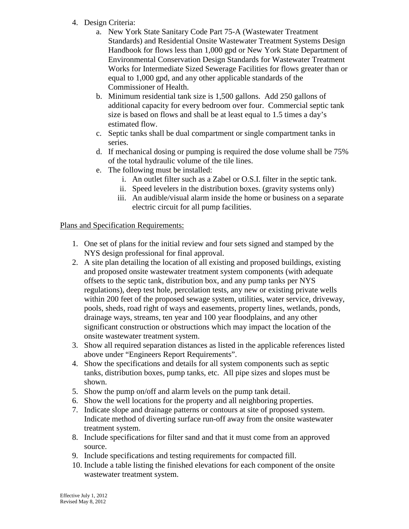- 4. Design Criteria:
	- a. New York State Sanitary Code Part 75-A (Wastewater Treatment Standards) and Residential Onsite Wastewater Treatment Systems Design Handbook for flows less than 1,000 gpd or New York State Department of Environmental Conservation Design Standards for Wastewater Treatment Works for Intermediate Sized Sewerage Facilities for flows greater than or equal to 1,000 gpd, and any other applicable standards of the Commissioner of Health.
	- b. Minimum residential tank size is 1,500 gallons. Add 250 gallons of additional capacity for every bedroom over four. Commercial septic tank size is based on flows and shall be at least equal to 1.5 times a day's estimated flow.
	- c. Septic tanks shall be dual compartment or single compartment tanks in series.
	- d. If mechanical dosing or pumping is required the dose volume shall be 75% of the total hydraulic volume of the tile lines.
	- e. The following must be installed:
		- i. An outlet filter such as a Zabel or O.S.I. filter in the septic tank.
		- ii. Speed levelers in the distribution boxes. (gravity systems only)
		- iii. An audible/visual alarm inside the home or business on a separate electric circuit for all pump facilities.

# Plans and Specification Requirements:

- 1. One set of plans for the initial review and four sets signed and stamped by the NYS design professional for final approval.
- 2. A site plan detailing the location of all existing and proposed buildings, existing and proposed onsite wastewater treatment system components (with adequate offsets to the septic tank, distribution box, and any pump tanks per NYS regulations), deep test hole, percolation tests, any new or existing private wells within 200 feet of the proposed sewage system, utilities, water service, driveway, pools, sheds, road right of ways and easements, property lines, wetlands, ponds, drainage ways, streams, ten year and 100 year floodplains, and any other significant construction or obstructions which may impact the location of the onsite wastewater treatment system.
- 3. Show all required separation distances as listed in the applicable references listed above under "Engineers Report Requirements".
- 4. Show the specifications and details for all system components such as septic tanks, distribution boxes, pump tanks, etc. All pipe sizes and slopes must be shown.
- 5. Show the pump on/off and alarm levels on the pump tank detail.
- 6. Show the well locations for the property and all neighboring properties.
- 7. Indicate slope and drainage patterns or contours at site of proposed system. Indicate method of diverting surface run-off away from the onsite wastewater treatment system.
- 8. Include specifications for filter sand and that it must come from an approved source.
- 9. Include specifications and testing requirements for compacted fill.
- 10. Include a table listing the finished elevations for each component of the onsite wastewater treatment system.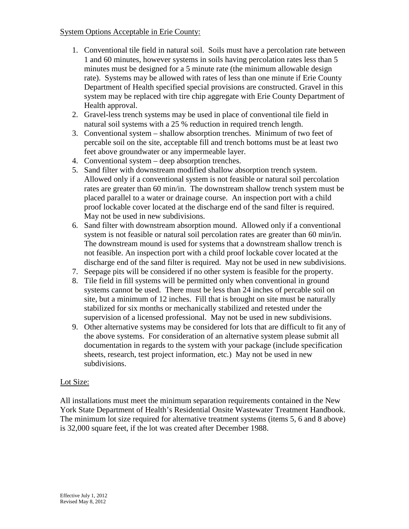## System Options Acceptable in Erie County:

- 1. Conventional tile field in natural soil. Soils must have a percolation rate between 1 and 60 minutes, however systems in soils having percolation rates less than 5 minutes must be designed for a 5 minute rate (the minimum allowable design rate). Systems may be allowed with rates of less than one minute if Erie County Department of Health specified special provisions are constructed. Gravel in this system may be replaced with tire chip aggregate with Erie County Department of Health approval.
- 2. Gravel-less trench systems may be used in place of conventional tile field in natural soil systems with a 25 % reduction in required trench length.
- 3. Conventional system shallow absorption trenches. Minimum of two feet of percable soil on the site, acceptable fill and trench bottoms must be at least two feet above groundwater or any impermeable layer.
- 4. Conventional system deep absorption trenches.
- 5. Sand filter with downstream modified shallow absorption trench system. Allowed only if a conventional system is not feasible or natural soil percolation rates are greater than 60 min/in. The downstream shallow trench system must be placed parallel to a water or drainage course. An inspection port with a child proof lockable cover located at the discharge end of the sand filter is required. May not be used in new subdivisions.
- 6. Sand filter with downstream absorption mound. Allowed only if a conventional system is not feasible or natural soil percolation rates are greater than 60 min/in. The downstream mound is used for systems that a downstream shallow trench is not feasible. An inspection port with a child proof lockable cover located at the discharge end of the sand filter is required. May not be used in new subdivisions.
- 7. Seepage pits will be considered if no other system is feasible for the property.
- 8. Tile field in fill systems will be permitted only when conventional in ground systems cannot be used. There must be less than 24 inches of percable soil on site, but a minimum of 12 inches. Fill that is brought on site must be naturally stabilized for six months or mechanically stabilized and retested under the supervision of a licensed professional. May not be used in new subdivisions.
- 9. Other alternative systems may be considered for lots that are difficult to fit any of the above systems. For consideration of an alternative system please submit all documentation in regards to the system with your package (include specification sheets, research, test project information, etc.) May not be used in new subdivisions.

# Lot Size:

All installations must meet the minimum separation requirements contained in the New York State Department of Health's Residential Onsite Wastewater Treatment Handbook. The minimum lot size required for alternative treatment systems (items 5, 6 and 8 above) is 32,000 square feet, if the lot was created after December 1988.